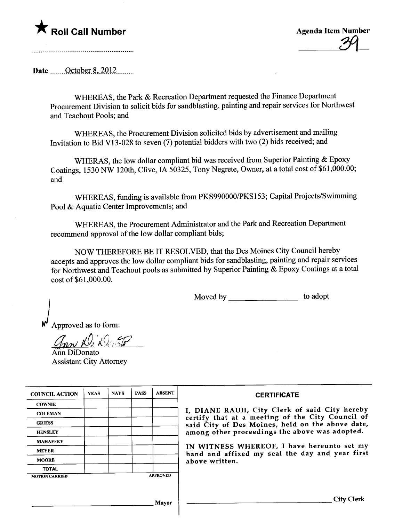**\*** Roll Call Number Agenda Item Number Agenda Item Number 32

Date  $\qquad$  October 8, 2012

WHEREAS, the Park & Recreation Department requested the Finance Department Procurement Division to solicit bids for sandblasting, painting and repair services for Northwest and Teachout Pools; and

WHEREAS, the Procurement Division solicited bids by advertisement and mailing Invitation to Bid V13-028 to seven (7) potential bidders with two (2) bids received; and

WHERAS, the low dollar compliant bid was received from Superior Painting & Epoxy Coatings, 1530 NW 120th, Clive, IA 50325, Tony Negrete, Owner, at a total cost of \$61,000.00; and

WHEREAS, fuding is available from PKS990000/PKS153; Capital Projects/Swimming Pool & Aquatic Center Improvements; and

WHEREAS, the Procurement Administrator and the Park and Recreation Deparment recommend approval of the low dollar compliant bids;

NOW THEREFORE BE IT RESOLVED, that the Des Moines City Council hereby accepts and approves the low dollar compliant bids for sandblasting, painting and repair services for Northwest and Teachout pools as submitted by Superior Painting & Epoxy Coatings at a total cost of \$61,000.00.

Moved by to adopt

Approved as to form:

 $g_{nn}$  N,  $i\mathcal{Q}_i$  , and

An DiDonato Assistant City Attorney

| <b>COUNCIL ACTION</b> | <b>YEAS</b> | <b>NAYS</b> | <b>PASS</b> | <b>ABSENT</b>   | <b>CERTIFICATE</b>                                                                                |
|-----------------------|-------------|-------------|-------------|-----------------|---------------------------------------------------------------------------------------------------|
| <b>COWNIE</b>         |             |             |             |                 |                                                                                                   |
| <b>COLEMAN</b>        |             |             |             |                 | I, DIANE RAUH, City Clerk of said City hereby<br>certify that at a meeting of the City Council of |
| <b>GRIESS</b>         |             |             |             |                 | said City of Des Moines, held on the above date,                                                  |
| <b>HENSLEY</b>        |             |             |             |                 | among other proceedings the above was adopted.                                                    |
| <b>MAHAFFEY</b>       |             |             |             |                 |                                                                                                   |
| <b>MEYER</b>          |             |             |             |                 | IN WITNESS WHEREOF, I have hereunto set my<br>hand and affixed my seal the day and year first     |
| <b>MOORE</b>          |             |             |             |                 | above written.                                                                                    |
| <b>TOTAL</b>          |             |             |             |                 |                                                                                                   |
| <b>MOTION CARRIED</b> |             |             |             | <b>APPROVED</b> |                                                                                                   |
|                       |             |             |             |                 |                                                                                                   |
|                       |             |             |             | Mayor           | City Clerk                                                                                        |